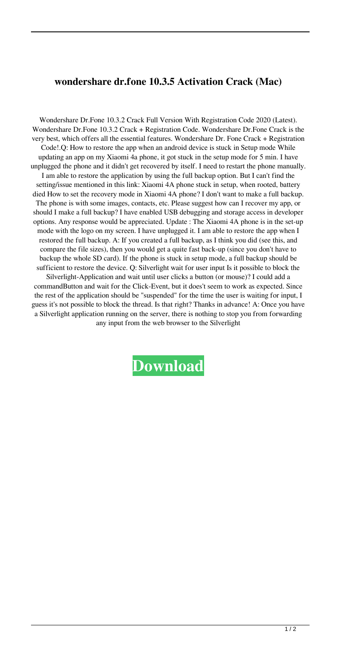## **wondershare dr.fone 10.3.5 Activation Crack (Mac)**

Wondershare Dr.Fone 10.3.2 Crack Full Version With Registration Code 2020 (Latest). Wondershare Dr.Fone 10.3.2 Crack + Registration Code. Wondershare Dr.Fone Crack is the very best, which offers all the essential features. Wondershare Dr. Fone Crack + Registration Code!.Q: How to restore the app when an android device is stuck in Setup mode While updating an app on my Xiaomi 4a phone, it got stuck in the setup mode for 5 min. I have unplugged the phone and it didn't get recovered by itself. I need to restart the phone manually. I am able to restore the application by using the full backup option. But I can't find the setting/issue mentioned in this link: Xiaomi 4A phone stuck in setup, when rooted, battery died How to set the recovery mode in Xiaomi 4A phone? I don't want to make a full backup. The phone is with some images, contacts, etc. Please suggest how can I recover my app, or should I make a full backup? I have enabled USB debugging and storage access in developer options. Any response would be appreciated. Update : The Xiaomi 4A phone is in the set-up mode with the logo on my screen. I have unplugged it. I am able to restore the app when I restored the full backup. A: If you created a full backup, as I think you did (see this, and compare the file sizes), then you would get a quite fast back-up (since you don't have to backup the whole SD card). If the phone is stuck in setup mode, a full backup should be sufficient to restore the device. Q: Silverlight wait for user input Is it possible to block the Silverlight-Application and wait until user clicks a button (or mouse)? I could add a commandButton and wait for the Click-Event, but it does't seem to work as expected. Since the rest of the application should be "suspended" for the time the user is waiting for input, I guess it's not possible to block the thread. Is that right? Thanks in advance! A: Once you have a Silverlight application running on the server, there is nothing to stop you from forwarding any input from the web browser to the Silverlight